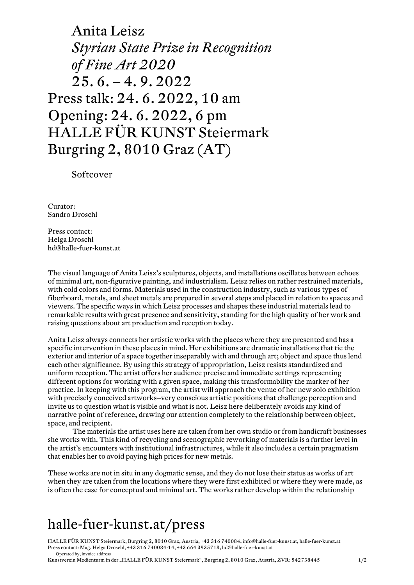Anita Leisz *Styrian State Prize in Recognition of Fine Art 2020* 25. 6. – 4. 9. 2022 Press talk: 24. 6. 2022, 10 am Opening: 24. 6. 2022, 6 pm HALLE FÜR KUNST Steiermark Burgring 2, 8010 Graz (AT)

Softcover

Curator: Sandro Droschl

Press contact: Helga Droschl hd@halle-fuer-kunst.at

The visual language of Anita Leisz's sculptures, objects, and installations oscillates between echoes of minimal art, non-figurative painting, and industrialism. Leisz relies on rather restrained materials, with cold colors and forms. Materials used in the construction industry, such as various types of fiberboard, metals, and sheet metals are prepared in several steps and placed in relation to spaces and viewers. The specific ways in which Leisz processes and shapes these industrial materials lead to remarkable results with great presence and sensitivity, standing for the high quality of her work and raising questions about art production and reception today.

Anita Leisz always connects her artistic works with the places where they are presented and has a specific intervention in these places in mind. Her exhibitions are dramatic installations that tie the exterior and interior of a space together inseparably with and through art; object and space thus lend each other significance. By using this strategy of appropriation, Leisz resists standardized and uniform reception. The artist offers her audience precise and immediate settings representing different options for working with a given space, making this transformability the marker of her practice. In keeping with this program, the artist will approach the venue of her new solo exhibition with precisely conceived artworks—very conscious artistic positions that challenge perception and invite us to question what is visible and what is not. Leisz here deliberately avoids any kind of narrative point of reference, drawing our attention completely to the relationship between object, space, and recipient.

The materials the artist uses here are taken from her own studio or from handicraft businesses she works with. This kind of recycling and scenographic reworking of materials is a further level in the artist's encounters with institutional infrastructures, while it also includes a certain pragmatism that enables her to avoid paying high prices for new metals.

These works are not in situ in any dogmatic sense, and they do not lose their status as works of art when they are taken from the locations where they were first exhibited or where they were made, as is often the case for conceptual and minimal art. The works rather develop within the relationship

## halle-fuer-kunst.at/press

HALLE FÜR KUNST Steiermark, Burgring 2, 8010 Graz, Austria, +43 316 740084, info@halle-fuer-kunst.at, halle-fuer-kunst.at Press contact: Mag. Helga Droschl, +43 316 740084-14, +43 664 3935718, hd@halle-fuer-kunst.at Operated by, invoice address

Kunstverein Medienturm in der "HALLE FÜR KUNST Steiermark", Burgring 2, 8010 Graz, Austria, ZVR: 542738445 1/2